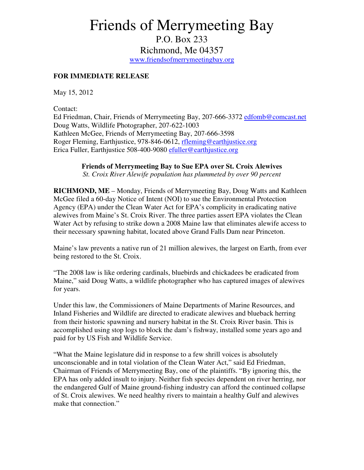## Friends of Merrymeeting Bay

P.O. Box 233 Richmond, Me 04357 www.friendsofmerrymeetingbay.org

## **FOR IMMEDIATE RELEASE**

May 15, 2012

Contact:

Ed Friedman, Chair, Friends of Merrymeeting Bay, 207-666-3372 edfomb@comcast.net Doug Watts, Wildlife Photographer, 207-622-1003 Kathleen McGee, Friends of Merrymeeting Bay, 207-666-3598 Roger Fleming, Earthjustice, 978-846-0612, rfleming@earthjustice.org Erica Fuller, Earthjustice 508-400-9080 efuller@earthjustice.org

## **Friends of Merrymeeting Bay to Sue EPA over St. Croix Alewives**

*St. Croix River Alewife population has plummeted by over 90 percent* 

**RICHMOND, ME** – Monday, Friends of Merrymeeting Bay, Doug Watts and Kathleen McGee filed a 60-day Notice of Intent (NOI) to sue the Environmental Protection Agency (EPA) under the Clean Water Act for EPA's complicity in eradicating native alewives from Maine's St. Croix River. The three parties assert EPA violates the Clean Water Act by refusing to strike down a 2008 Maine law that eliminates alewife access to their necessary spawning habitat, located above Grand Falls Dam near Princeton.

Maine's law prevents a native run of 21 million alewives, the largest on Earth, from ever being restored to the St. Croix.

"The 2008 law is like ordering cardinals, bluebirds and chickadees be eradicated from Maine," said Doug Watts, a wildlife photographer who has captured images of alewives for years.

Under this law, the Commissioners of Maine Departments of Marine Resources, and Inland Fisheries and Wildlife are directed to eradicate alewives and blueback herring from their historic spawning and nursery habitat in the St. Croix River basin. This is accomplished using stop logs to block the dam's fishway, installed some years ago and paid for by US Fish and Wildlife Service.

"What the Maine legislature did in response to a few shrill voices is absolutely unconscionable and in total violation of the Clean Water Act," said Ed Friedman, Chairman of Friends of Merrymeeting Bay, one of the plaintiffs. "By ignoring this, the EPA has only added insult to injury. Neither fish species dependent on river herring, nor the endangered Gulf of Maine ground-fishing industry can afford the continued collapse of St. Croix alewives. We need healthy rivers to maintain a healthy Gulf and alewives make that connection."